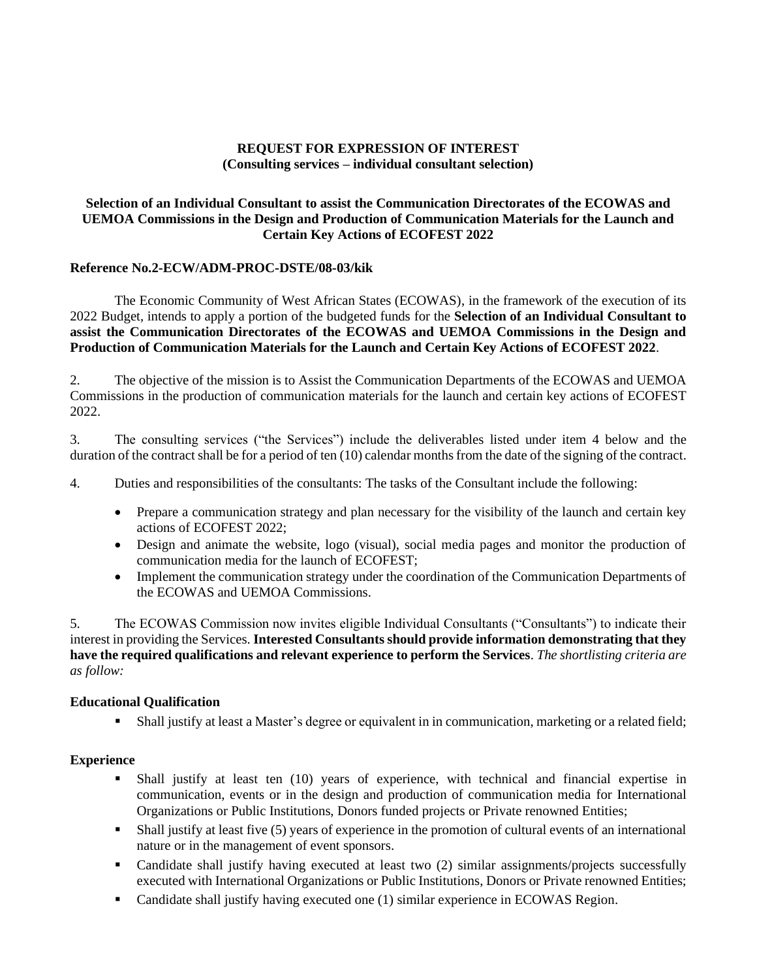# **REQUEST FOR EXPRESSION OF INTEREST (Consulting services – individual consultant selection)**

# **Selection of an Individual Consultant to assist the Communication Directorates of the ECOWAS and UEMOA Commissions in the Design and Production of Communication Materials for the Launch and Certain Key Actions of ECOFEST 2022**

### **Reference No.2-ECW/ADM-PROC-DSTE/08-03/kik**

The Economic Community of West African States (ECOWAS), in the framework of the execution of its 2022 Budget, intends to apply a portion of the budgeted funds for the **Selection of an Individual Consultant to assist the Communication Directorates of the ECOWAS and UEMOA Commissions in the Design and Production of Communication Materials for the Launch and Certain Key Actions of ECOFEST 2022**.

2. The objective of the mission is to Assist the Communication Departments of the ECOWAS and UEMOA Commissions in the production of communication materials for the launch and certain key actions of ECOFEST 2022.

3. The consulting services ("the Services") include the deliverables listed under item 4 below and the duration of the contract shall be for a period of ten (10) calendar months from the date of the signing of the contract.

4. Duties and responsibilities of the consultants: The tasks of the Consultant include the following:

- Prepare a communication strategy and plan necessary for the visibility of the launch and certain key actions of ECOFEST 2022;
- Design and animate the website, logo (visual), social media pages and monitor the production of communication media for the launch of ECOFEST;
- Implement the communication strategy under the coordination of the Communication Departments of the ECOWAS and UEMOA Commissions.

5. The ECOWAS Commission now invites eligible Individual Consultants ("Consultants") to indicate their interest in providing the Services. **Interested Consultants should provide information demonstrating that they have the required qualifications and relevant experience to perform the Services**. *The shortlisting criteria are as follow:*

### **Educational Qualification**

▪ Shall justify at least a Master's degree or equivalent in in communication, marketing or a related field;

### **Experience**

- Shall justify at least ten (10) years of experience, with technical and financial expertise in communication, events or in the design and production of communication media for International Organizations or Public Institutions, Donors funded projects or Private renowned Entities;
- Shall justify at least five (5) years of experience in the promotion of cultural events of an international nature or in the management of event sponsors.
- Candidate shall justify having executed at least two (2) similar assignments/projects successfully executed with International Organizations or Public Institutions, Donors or Private renowned Entities;
- Candidate shall justify having executed one (1) similar experience in ECOWAS Region.